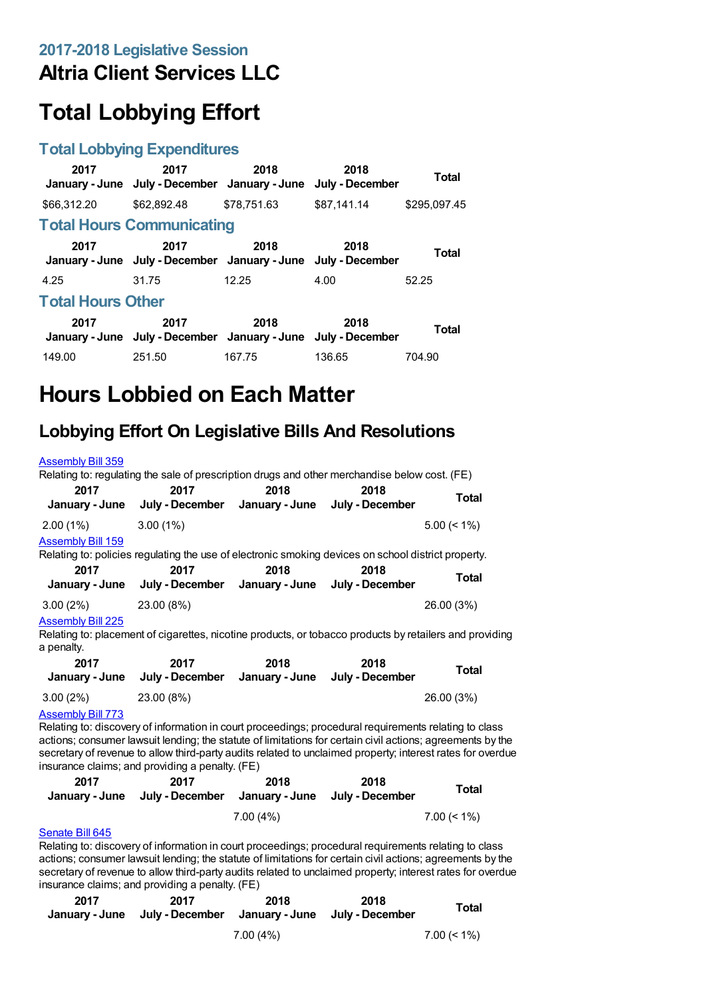## **Altria Client Services LLC**

# **Total Lobbying Effort**

### **Total Lobbying Expenditures**

| 2017                     | 2017<br>January - June July - December January - June                 | 2018        | 2018<br>July - December | Total        |  |
|--------------------------|-----------------------------------------------------------------------|-------------|-------------------------|--------------|--|
| \$66,312.20              | \$62,892.48                                                           | \$78.751.63 | \$87.141.14             | \$295.097.45 |  |
|                          | <b>Total Hours Communicating</b>                                      |             |                         |              |  |
| 2017                     | 2017<br>January - June July - December January - June July - December | 2018        | 2018                    | <b>Total</b> |  |
| 4.25                     | 31.75                                                                 | 12.25       | 4.00                    | 52.25        |  |
| <b>Total Hours Other</b> |                                                                       |             |                         |              |  |
| 2017                     | 2017<br>January - June July - December January - June                 | 2018        | 2018<br>July - December | Total        |  |
| 149.00                   | 251.50                                                                | 167.75      | 136.65                  | 704.90       |  |

# **Hours Lobbied on Each Matter**

## **Lobbying Effort On Legislative Bills And Resolutions**

| <b>Assembly Bill 359</b> | Relating to: regulating the sale of prescription drugs and other merchandise below cost. (FE)       |      |                                                        |                |
|--------------------------|-----------------------------------------------------------------------------------------------------|------|--------------------------------------------------------|----------------|
| 2017<br>January - June   | 2017                                                                                                | 2018 | 2018<br>July - December January - June July - December | <b>Total</b>   |
| 2.00(1%)                 | $3.00(1\%)$                                                                                         |      |                                                        | $5.00 \le 1\%$ |
| <b>Assembly Bill 159</b> | Relating to: policies regulating the use of electronic smoking devices on school district property. |      |                                                        |                |
| 2017<br>January - June   | 2017<br>July - December January - June                                                              | 2018 | 2018<br>July - December                                | <b>Total</b>   |
| 3.00(2%)                 | 23.00 (8%)                                                                                          |      |                                                        | 26.00 (3%)     |
| <b>Assembly Bill 225</b> |                                                                                                     |      |                                                        |                |

Relating to: placement of cigarettes, nicotine products, or tobacco products by retailers and providing a penalty.

| 2017        | 2017<br>January - June July - December | 2018 | 2018<br>January - June July - December | Total      |
|-------------|----------------------------------------|------|----------------------------------------|------------|
| $3.00(2\%)$ | 23.00 (8%)                             |      |                                        | 26.00 (3%) |
|             |                                        |      |                                        |            |

### [Assembly](https://lobbying.wi.gov/What/BillInformation/2017REG/Information/15311?tab=Efforts) Bill 773

Relating to: discovery of information in court proceedings; procedural requirements relating to class actions; consumer lawsuit lending; the statute of limitations for certain civil actions; agreements by the secretary of revenue to allow third-party audits related to unclaimed property; interest rates for overdue insurance claims; and providing a penalty. (FE)

| 2017 | 2017<br>January - June July - December January - June July - December | 2018        | 2018 | <b>Total</b>   |
|------|-----------------------------------------------------------------------|-------------|------|----------------|
|      |                                                                       | $7.00(4\%)$ |      | $7.00 \le 1\%$ |

### [Senate](https://lobbying.wi.gov/What/BillInformation/2017REG/Information/15316?tab=Efforts) Bill 645

Relating to: discovery of information in court proceedings; procedural requirements relating to class actions; consumer lawsuit lending; the statute of limitations for certain civil actions; agreements by the secretary of revenue to allow third-party audits related to unclaimed property; interest rates for overdue insurance claims; and providing a penalty. (FE)

| 2017 | 2017<br>January - June July - December January - June July - December | 2018        | 2018 | Total          |
|------|-----------------------------------------------------------------------|-------------|------|----------------|
|      |                                                                       | $7.00(4\%)$ |      | $7.00 \le 1\%$ |